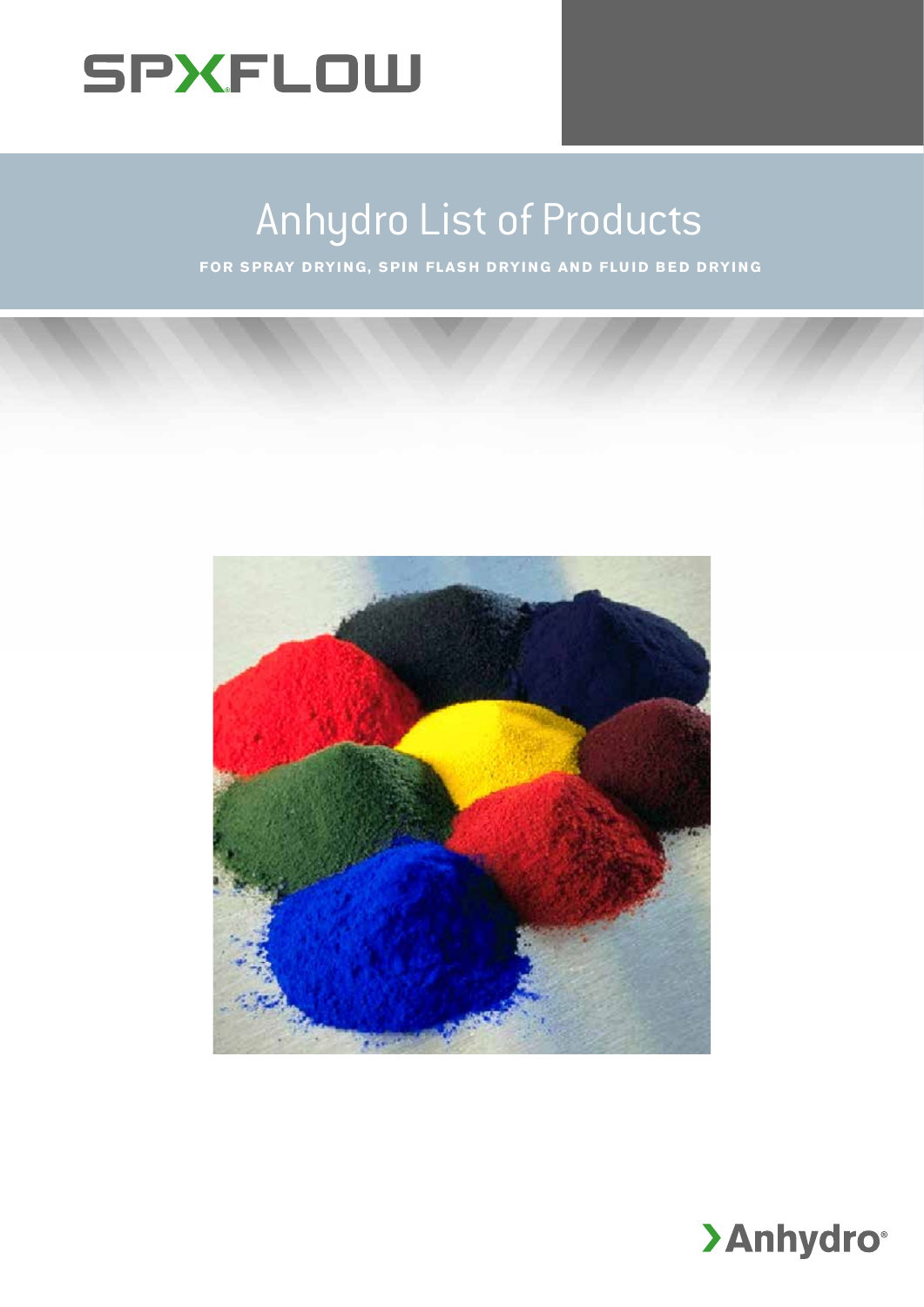

# Anhydro List of Products

**FOR SPRAY DRYING, SPIN FLASH DRYING AND FLUID BED DRYING** 



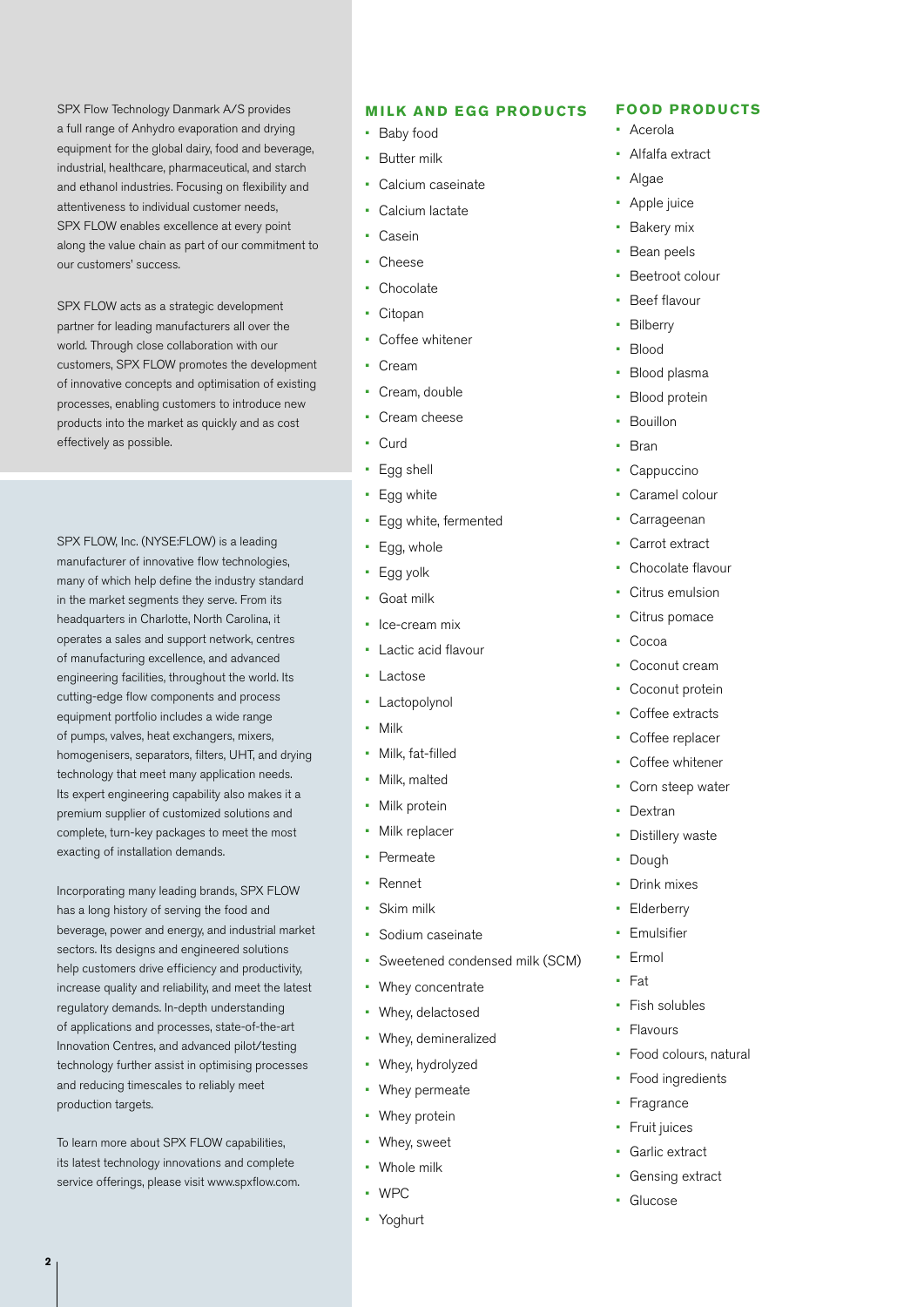SPX Flow Technology Danmark A/S provides a full range of Anhydro evaporation and drying equipment for the global dairy, food and beverage, industrial, healthcare, pharmaceutical, and starch and ethanol industries. Focusing on flexibility and attentiveness to individual customer needs, SPX FLOW enables excellence at every point along the value chain as part of our commitment to our customers' success.

SPX FLOW acts as a strategic development partner for leading manufacturers all over the world. Through close collaboration with our customers, SPX FLOW promotes the development of innovative concepts and optimisation of existing processes, enabling customers to introduce new products into the market as quickly and as cost effectively as possible.

SPX FLOW, Inc. (NYSE:FLOW) is a leading manufacturer of innovative flow technologies, many of which help define the industry standard in the market segments they serve. From its headquarters in Charlotte, North Carolina, it operates a sales and support network, centres of manufacturing excellence, and advanced engineering facilities, throughout the world. Its cutting-edge flow components and process equipment portfolio includes a wide range of pumps, valves, heat exchangers, mixers, homogenisers, separators, filters, UHT, and drying technology that meet many application needs. Its expert engineering capability also makes it a premium supplier of customized solutions and complete, turn-key packages to meet the most exacting of installation demands.

Incorporating many leading brands, SPX FLOW has a long history of serving the food and beverage, power and energy, and industrial market sectors. Its designs and engineered solutions help customers drive efficiency and productivity, increase quality and reliability, and meet the latest regulatory demands. In-depth understanding of applications and processes, state-of-the-art Innovation Centres, and advanced pilot/testing technology further assist in optimising processes and reducing timescales to reliably meet production targets.

To learn more about SPX FLOW capabilities, its latest technology innovations and complete service offerings, please visit www.spxflow.com.

#### **MILK AND EGG PRODUCTS**

- Baby food
- **Butter milk**
- Calcium caseinate
- Calcium lactate
- Casein
- **Cheese**
- **Chocolate**
- Citopan
- Coffee whitener
- Cream
- Cream, double
- Cream cheese
- Curd
- Egg shell
- Egg white
- Egg white, fermented
- Egg, whole
- Egg yolk
- Goat milk
- Ice-cream mix
- Lactic acid flavour
- Lactose
- **Lactopolynol**
- Milk
- Milk, fat-filled
- Milk, malted
- Milk protein
- Milk replacer
- **Permeate**
- Rennet
- Skim milk
- Sodium caseinate
- Sweetened condensed milk (SCM)
- Whey concentrate
- Whey, delactosed
- Whey, demineralized
- Whey, hydrolyzed
- Whey permeate
- Whey protein
- Whey, sweet
- Whole milk
- WPC
- Yoghurt

#### **FOOD PRODUCTS**

- Acerola
- Alfalfa extract
- Algae
- Apple juice
- **Bakery** mix
- Bean peels
- Beetroot colour
- Beef flavour
- **Bilberry**
- Blood
- Blood plasma
- Blood protein
- **Bouillon**
- Bran
- **Cappuccino**
- Caramel colour
- Carrageenan
- Carrot extract
- Chocolate flavour
- Citrus emulsion
- Citrus pomace
- Cocoa
- Coconut cream
- Coconut protein
- Coffee extracts
- Coffee replacer
- Coffee whitener
- Corn steep water
- Dextran
- Distillery waste
- Dough
- Drink mixes
- **Elderberry**
- **Emulsifier**
- **Ermol**
- $F_{2}$ +
- Fish solubles
- **Flavours**
- Food colours, natural
- Food ingredients
- Fragrance
- Fruit juices
- Garlic extract
- Gensing extract
- Glucose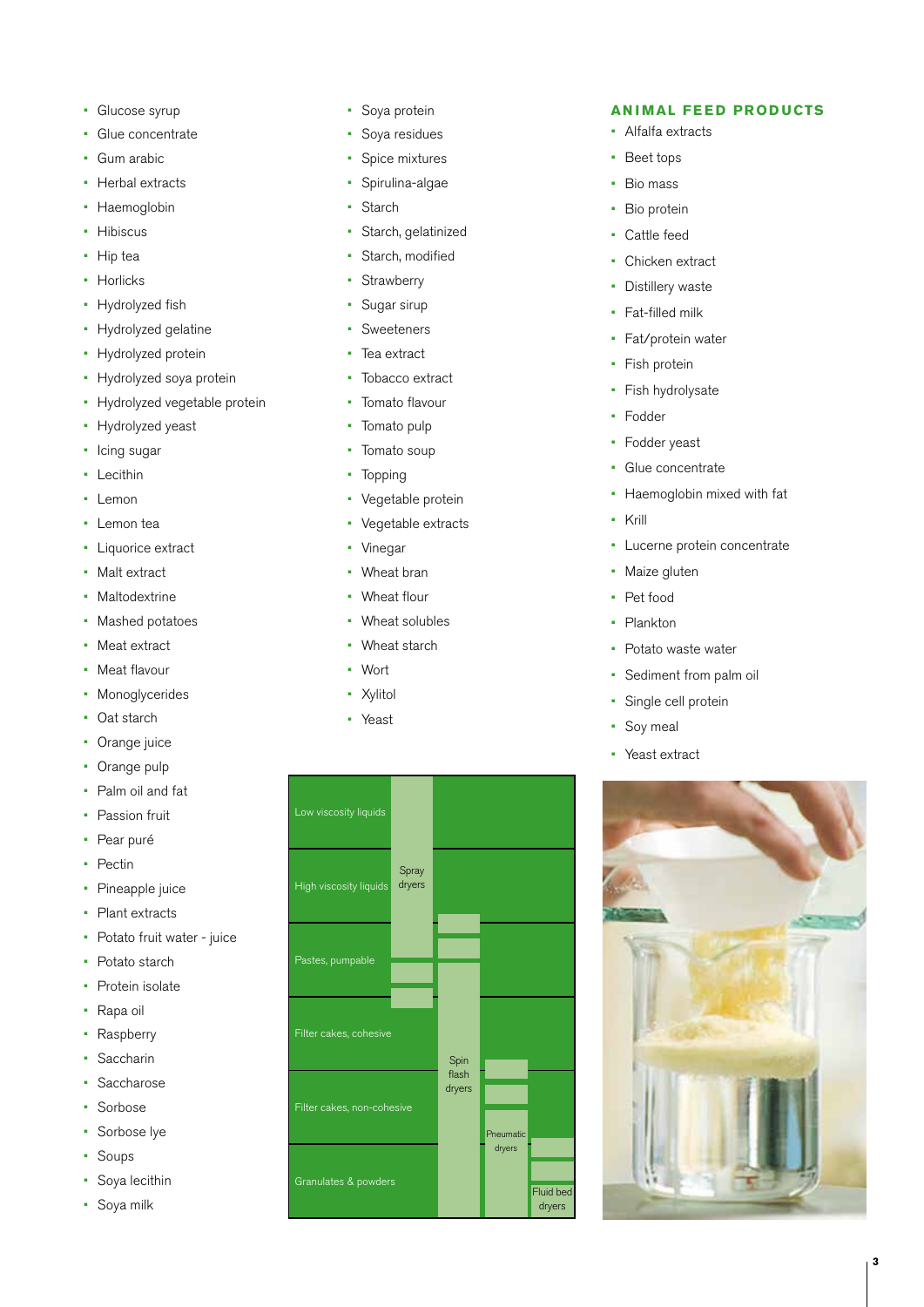- Glucose syrup
- Glue concentrate
- Gum arabic
- Herbal extracts
- Haemoglobin
- Hibiscus
- Hip tea
- Horlicks
- Hydrolyzed fish
- Hydrolyzed gelatine
- Hydrolyzed protein
- Hydrolyzed soya protein
- Hydrolyzed vegetable protein
- Hydrolyzed yeast
- Icing sugar
- Lecithin
- Lemon
- Lemon tea
- Liquorice extract
- Malt extract
- Maltodextrine
- Mashed potatoes
- Meat extract
- Meat flavour
- Monoglycerides
- Oat starch
- Orange juice
- Orange pulp
- Palm oil and fat
- Passion fruit
- Pear puré
- Pectin
- Pineapple juice
- Plant extracts
- Potato fruit water juice
- Potato starch
- Protein isolate
- Rapa oil
- Raspberry
- Saccharin
- Saccharose
- Sorbose
- Sorbose lye
- Soups
- Soya lecithin
- Soya milk
- Soya protein
- Soya residues
- Spice mixtures
- Spirulina-algae
- Starch
- Starch, gelatinized
- Starch, modified
- Strawberry
- Sugar sirup
- Sweeteners
- Tea extract
- Tobacco extract
- Tomato flavour
- Tomato pulp
- Tomato soup
- Topping
- Vegetable protein
- Vegetable extracts
- Vinegar
- Wheat bran
- Wheat flour
- Wheat solubles
- Wheat starch
- Wort
- Xylitol
- Yeast



#### **ANIMAL FEED PRODUCTS**

- Alfalfa extracts
- Beet tops
- Bio mass
- Bio protein
- Cattle feed
- Chicken extract
- Distillery waste
- Fat-filled milk
- Fat/protein water
- Fish protein
- Fish hydrolysate
- Fodder
- Fodder yeast
- Glue concentrate
- Haemoglobin mixed with fat
- Krill
- Lucerne protein concentrate
- Maize gluten
- Pet food
	- Plankton
- Potato waste water
- Sediment from palm oil
- Single cell protein
- Soy meal
- Yeast extract



**3**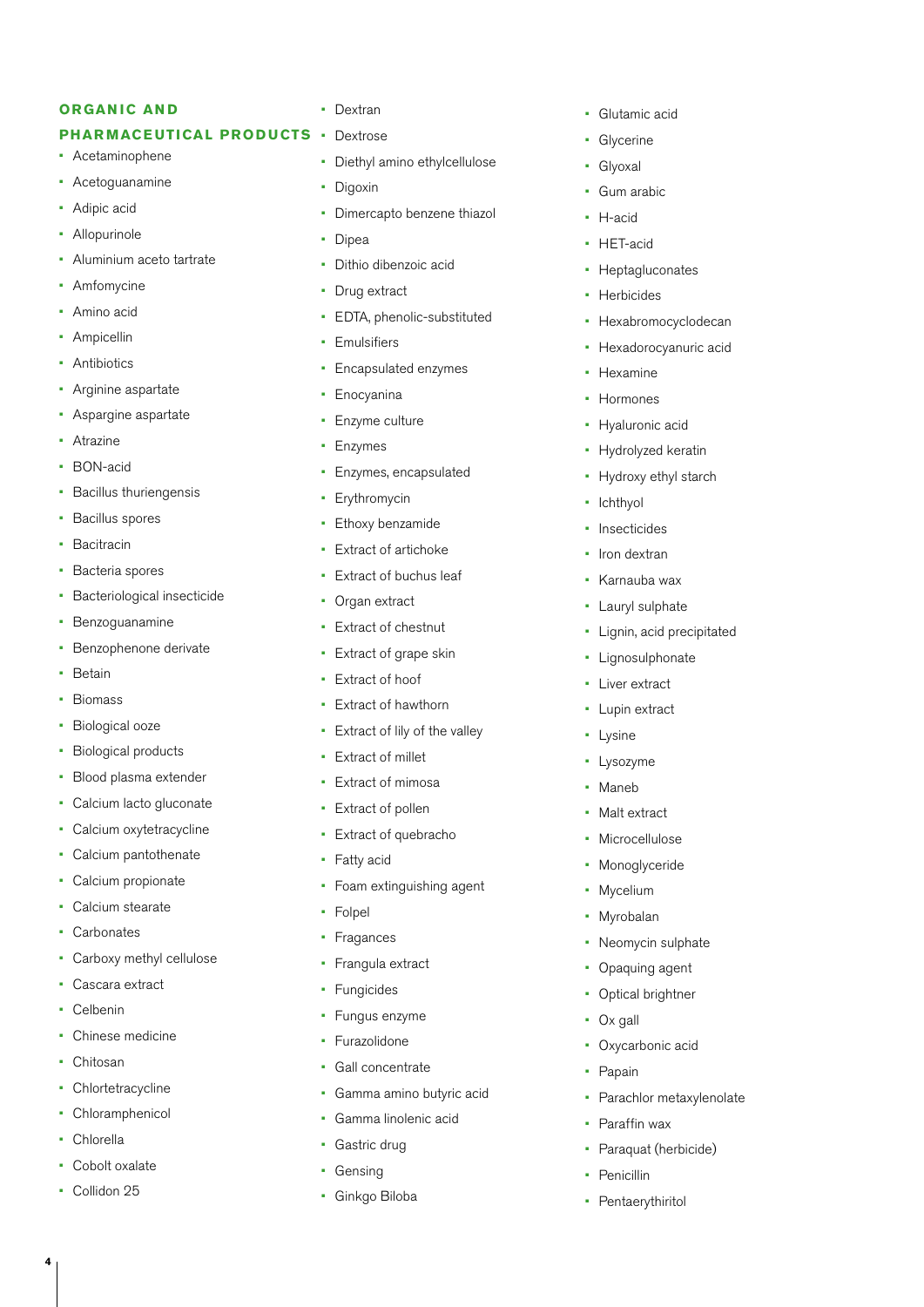#### **ORGANIC AND**

#### **PHARMACEUTICAL PRODUCTS**

- Acetaminophene
- Acetoguanamine
- Adipic acid
- Allopurinole
- Aluminium aceto tartrate
- Amfomycine
- Amino acid
- Ampicellin
- Antibiotics
- Arginine aspartate
- Aspargine aspartate
- Atrazine
- BON-acid
- Bacillus thuriengensis
- Bacillus spores
- Bacitracin
- Bacteria spores
- Bacteriological insecticide
- Benzoguanamine
- Benzophenone derivate
- Betain
- Biomass
- Biological ooze
- Biological products
- Blood plasma extender
- Calcium lacto gluconate
- Calcium oxytetracycline
- Calcium pantothenate
- Calcium propionate
- Calcium stearate
- Carbonates
- Carboxy methyl cellulose
- Cascara extract
- Celbenin
- Chinese medicine
- Chitosan
- **Chlortetracycline**
- Chloramphenicol
- Chlorella
- Cobolt oxalate
- Collidon 25

**4**

#### • Dextran

- **Dextrose** 
	- Diethyl amino ethylcellulose
- Digoxin
- Dimercapto benzene thiazol
- Dipea
- Dithio dibenzoic acid
- Drug extract
- EDTA, phenolic-substituted
- Emulsifiers
- Encapsulated enzymes
- Enocyanina
- Enzyme culture
- Enzymes
- Enzymes, encapsulated
- Erythromycin
- Ethoxy benzamide
- Extract of artichoke
- Extract of buchus leaf
- Organ extract
- **Extract of chestnut**
- Extract of grape skin
- Extract of hoof
- Extract of hawthorn
- Extract of lily of the valley
- Extract of millet
- Extract of mimosa
- Extract of pollen
- Extract of quebracho
- Fatty acid
- Foam extinguishing agent
- Folpel
- Fragances
- Frangula extract
- Fungicides
- Fungus enzyme
- Furazolidone
- Gall concentrate
- Gamma amino butyric acid
- Gamma linolenic acid
- Gastric drug
- **Gensing**
- Ginkgo Biloba
- Glutamic acid
- Glycerine
- Glyoxal
- Gum arabic
- H-acid
- HET-acid
- Heptagluconates
- Herbicides
- Hexabromocyclodecan
- Hexadorocyanuric acid
- Hexamine
- Hormones

• Ichthyol **Insecticides** Iron dextran • Karnauba wax Lauryl sulphate

- Hyaluronic acid
- Hydrolyzed keratin • Hydroxy ethyl starch

• Lignin, acid precipitated

• Lignosulphonate Liver extract Lupin extract

• Neomycin sulphate • Opaquing agent • Optical brightner

Oxycarbonic acid

Paraffin wax

• Pentaerythiritol

Parachlor metaxylenolate

Paraquat (herbicide)

• Ox gall

• Papain

• Penicillin

• Lysine • Lysozyme **Maneb** • Malt extract **Microcellulose** • Monoglyceride • Mycelium • Myrobalan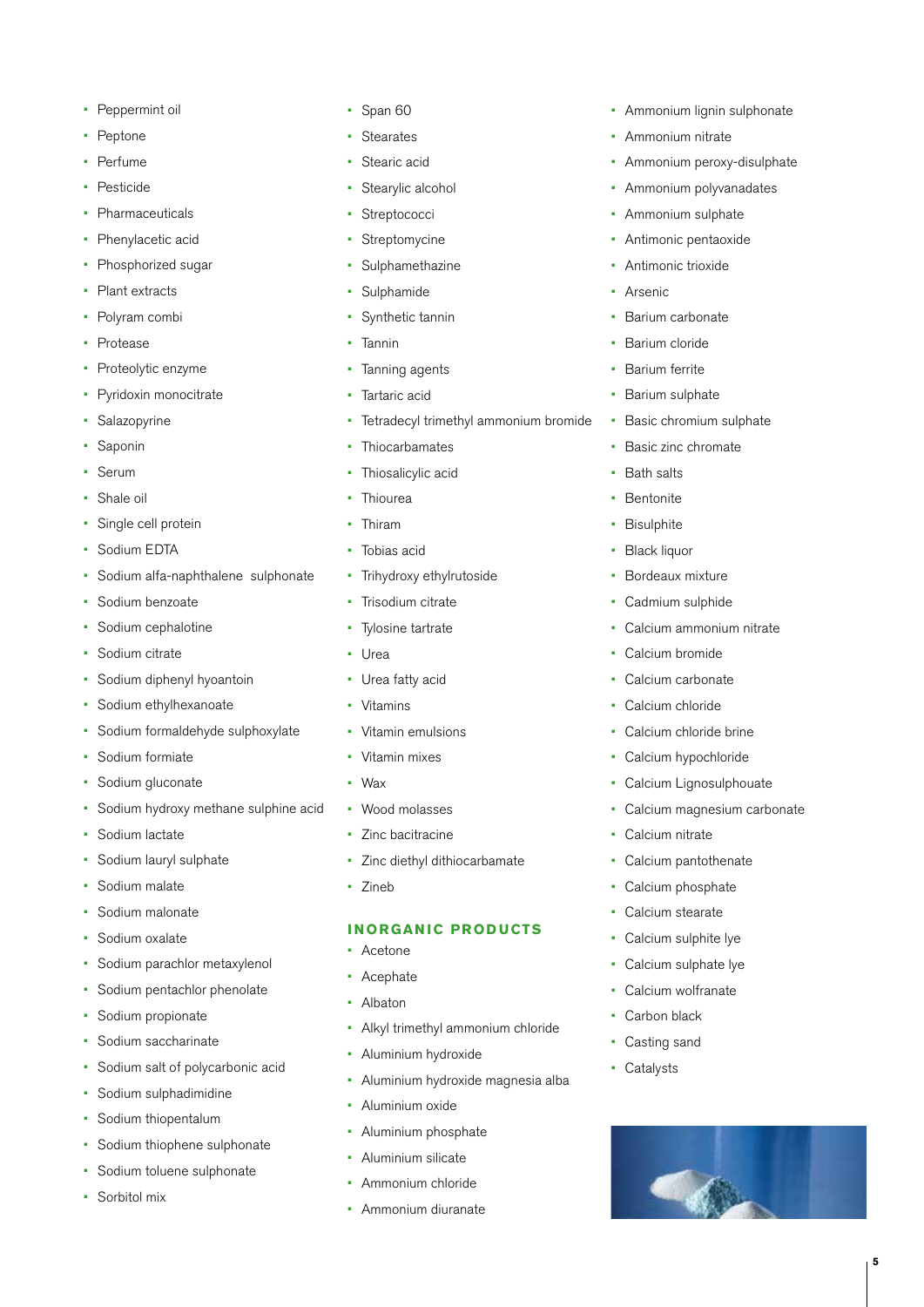- Peppermint oil
- Peptone
- Perfume
- Pesticide
- **Pharmaceuticals**
- Phenylacetic acid
- Phosphorized sugar
- Plant extracts
- Polyram combi
- Protease
- Proteolytic enzyme
- Pyridoxin monocitrate
- Salazopyrine
- Saponin
- Serum
- Shale oil
- Single cell protein
- Sodium EDTA
- Sodium alfa-naphthalene sulphonate
- Sodium benzoate
- Sodium cephalotine
- Sodium citrate
- Sodium diphenyl hyoantoin
- Sodium ethylhexanoate
- Sodium formaldehyde sulphoxylate
- Sodium formiate
- Sodium gluconate
- Sodium hydroxy methane sulphine acid
- Sodium lactate
- Sodium lauryl sulphate
- Sodium malate
- Sodium malonate
- Sodium oxalate
- Sodium parachlor metaxylenol
- Sodium pentachlor phenolate
- Sodium propionate
- Sodium saccharinate
- Sodium salt of polycarbonic acid
- Sodium sulphadimidine
- Sodium thiopentalum
- Sodium thiophene sulphonate
- Sodium toluene sulphonate
- Sorbitol mix
- Span 60
- Stearates
- Stearic acid
- Stearylic alcohol
- Streptococci
- Streptomycine
- **Sulphamethazine**
- **Sulphamide**
- Synthetic tannin
- Tannin
- Tanning agents
- Tartaric acid
- Tetradecyl trimethyl ammonium bromide
- Thiocarbamates
- Thiosalicylic acid
- Thiourea
- Thiram
- Tobias acid
- Trihydroxy ethylrutoside
- Trisodium citrate
- Tylosine tartrate
- Urea
- Urea fatty acid
- Vitamins
- Vitamin emulsions
- Vitamin mixes
- Wax
- Wood molasses
- Zinc bacitracine
- Zinc diethyl dithiocarbamate
- Zineb

#### **INORGANIC PRODUCTS**

- Acetone
- Acephate
- Albaton
- Alkyl trimethyl ammonium chloride
- Aluminium hydroxide
- Aluminium hydroxide magnesia alba
- Aluminium oxide
- Aluminium phosphate
- Aluminium silicate
- Ammonium chloride
- Ammonium diuranate
- Ammonium lignin sulphonate
- Ammonium nitrate
- Ammonium peroxy-disulphate
- Ammonium polyvanadates
- Ammonium sulphate
- Antimonic pentaoxide
- Antimonic trioxide
- **Arsenic**
- Barium carbonate
- Barium cloride
- Barium ferrite

• Bath salts **Bentonite Bisulphite** • Black liquor

- Barium sulphate
- Basic chromium sulphate

**5**

• Basic zinc chromate

Bordeaux mixture Cadmium sulphide

Calcium bromide Calcium carbonate Calcium chloride

Calcium nitrate

Calcium pantothenate Calcium phosphate Calcium stearate Calcium sulphite lye • Calcium sulphate lye Calcium wolfranate Carbon black Casting sand • Catalysts

Calcium chloride brine Calcium hypochloride Calcium Lignosulphouate Calcium magnesium carbonate

Calcium ammonium nitrate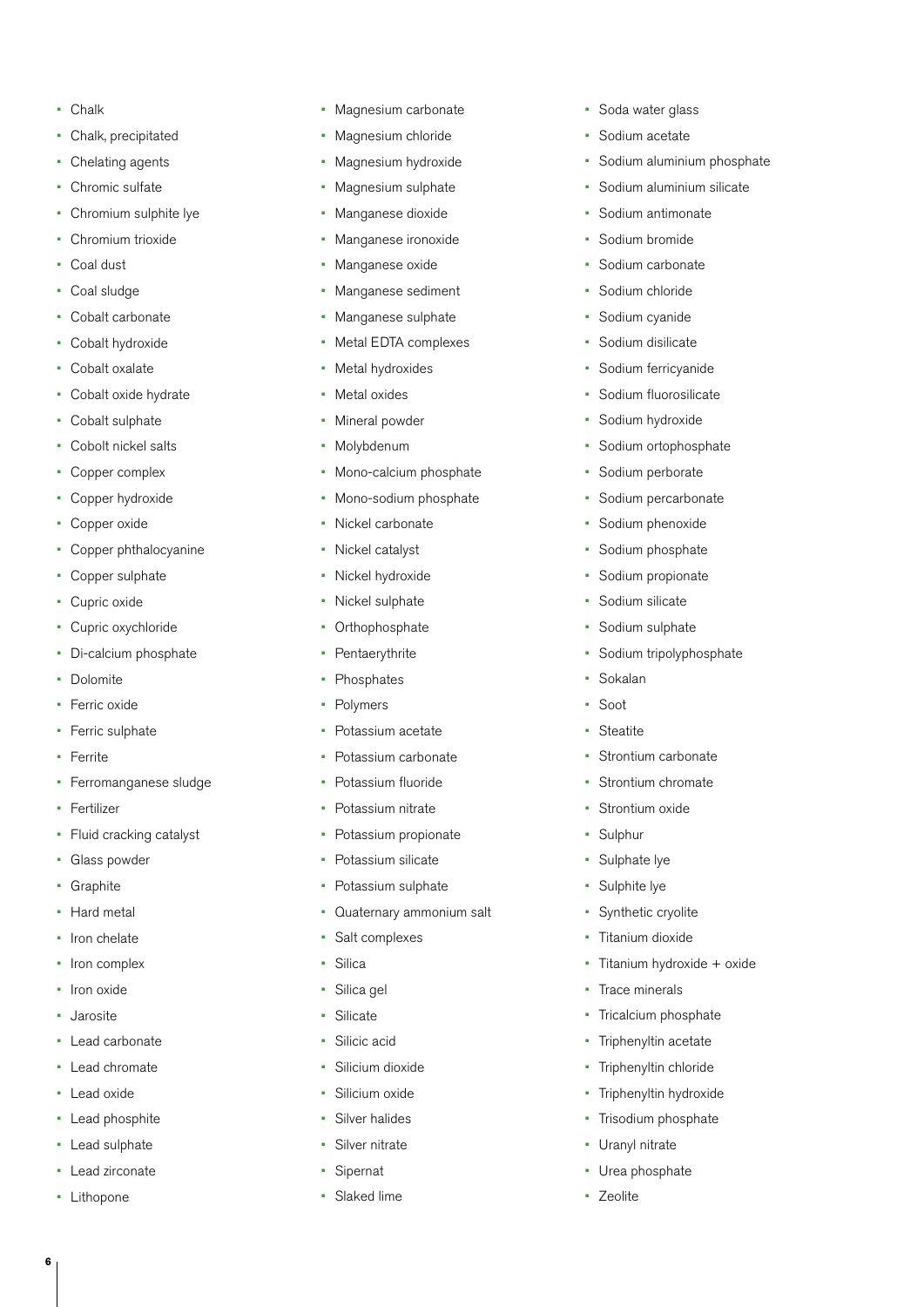- Chalk
- Chalk, precipitated
- Chelating agents
- Chromic sulfate
- Chromium sulphite lye
- Chromium trioxide
- Coal dust
- Coal sludge
- Cobalt carbonate
- Cobalt hydroxide
- Cobalt oxalate
- Cobalt oxide hydrate
- Cobalt sulphate
- Cobolt nickel salts
- Copper complex
- Copper hydroxide
- Copper oxide
- Copper phthalocyanine
- Copper sulphate
- Cupric oxide
- Cupric oxychloride
- Di-calcium phosphate
- Dolomite
- Ferric oxide
- Ferric sulphate
- Ferrite
- Ferromanganese sludge
- Fertilizer
- Fluid cracking catalyst
- Glass powder
- Graphite
- Hard metal
- Iron chelate
- Iron complex
- Iron oxide
- Jarosite
- Lead carbonate
- Lead chromate
- Lead oxide
- Lead phosphite
- Lead sulphate
- Lead zirconate
- Lithopone

**6**

- Magnesium carbonate
- Magnesium chloride
- Magnesium hydroxide
- Magnesium sulphate
- Manganese dioxide
- Manganese ironoxide
- Manganese oxide
- Manganese sediment
- Manganese sulphate
- Metal EDTA complexes
- Metal hydroxides
- Metal oxides
- Mineral powder
- Molybdenum
- Mono-calcium phosphate
- Mono-sodium phosphate
- Nickel carbonate
- Nickel catalyst
- Nickel hydroxide
- Nickel sulphate
- **Orthophosphate**
- Pentaerythrite
- **Phosphates**
- **Polymers**
- Potassium acetate
- Potassium carbonate
- Potassium fluoride
- Potassium nitrate
- Potassium propionate
- Potassium silicate
- Potassium sulphate
- Quaternary ammonium salt
- Salt complexes
- Silica
- Silica gel
- Silicate
- Silicic acid
- Silicium dioxide
- Silicium oxide
- Silver halides
- Silver nitrate
- **Sipernat**
- Slaked lime
- Soda water glass
- Sodium acetate
- Sodium aluminium phosphate
- Sodium aluminium silicate
- Sodium antimonate
- Sodium bromide
- Sodium carbonate
- Sodium chloride
- Sodium cyanide
- Sodium disilicate
- Sodium ferricyanide
- Sodium fluorosilicate
- Sodium hydroxide

• Sodium perborate • Sodium percarbonate Sodium phenoxide • Sodium phosphate Sodium propionate

• Sodium silicate Sodium sulphate • Sodium tripolyphosphate

**Sokalan** • Soot • Steatite

• Strontium carbonate Strontium chromate

• Titanium hydroxide + oxide

• Strontium oxide

**Trace minerals** 

Uranyl nitrate Urea phosphate

• Zeolite

Tricalcium phosphate Triphenyltin acetate Triphenyltin chloride Triphenyltin hydroxide Trisodium phosphate

• Sulphur • Sulphate lye Sulphite lye • Synthetic cryolite Titanium dioxide

• Sodium ortophosphate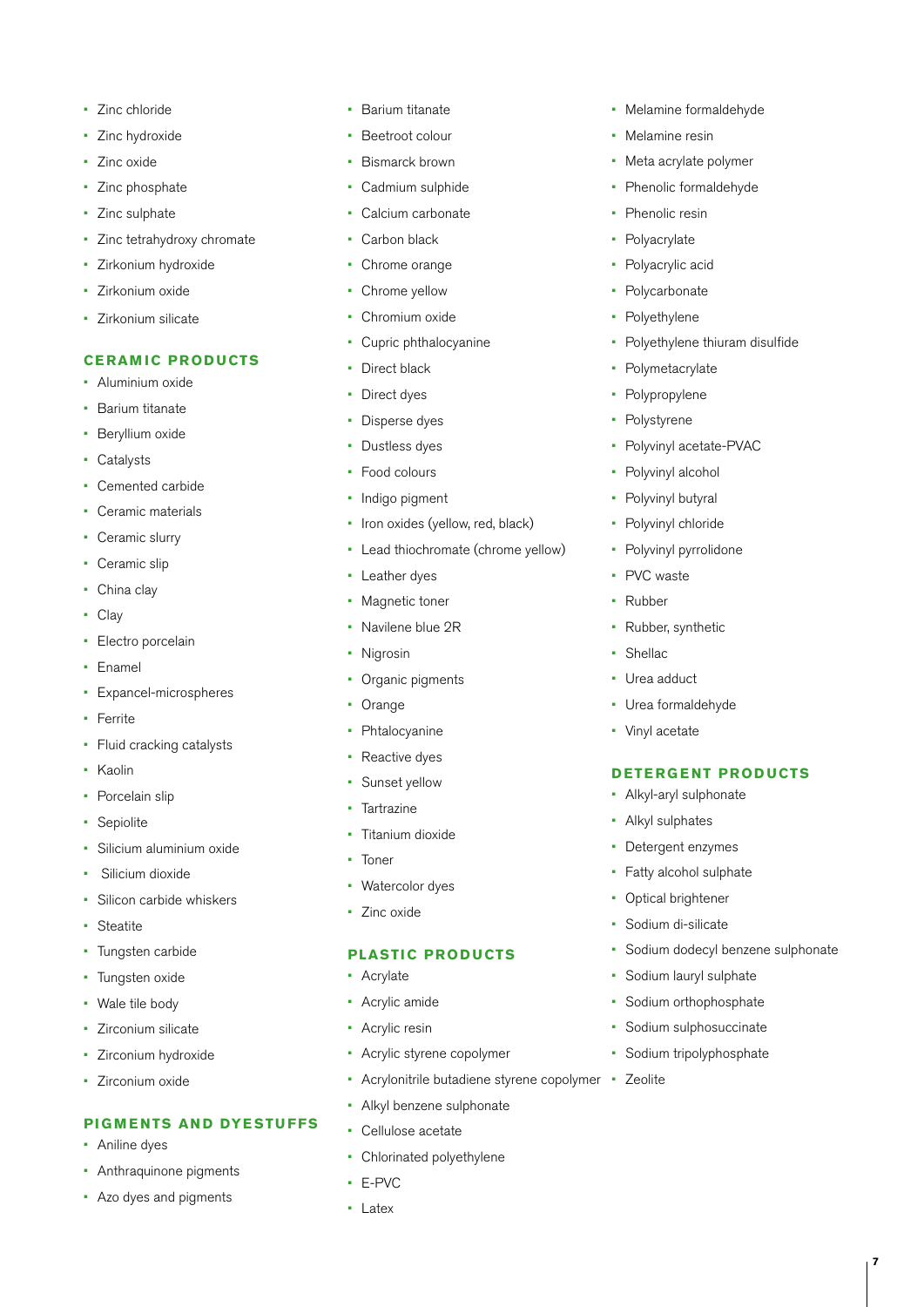- Zinc chloride
- Zinc hydroxide
- Zinc oxide
- Zinc phosphate
- Zinc sulphate
- Zinc tetrahydroxy chromate
- Zirkonium hydroxide
- Zirkonium oxide
- Zirkonium silicate

#### **CERAMIC PRODUCTS**

- Aluminium oxide
- Barium titanate
- Beryllium oxide
- Catalysts
- Cemented carbide
- Ceramic materials
- Ceramic slurry
- Ceramic slip
- China clay
- Clay
- Electro porcelain
- Enamel
- Expancel-microspheres
- Ferrite
- Fluid cracking catalysts
- Kaolin
- Porcelain slip
- **Sepiolite**
- Silicium aluminium oxide
- Silicium dioxide
- Silicon carbide whiskers
- Steatite
- Tungsten carbide
- Tungsten oxide
- Wale tile body
- Zirconium silicate
- Zirconium hydroxide
- Zirconium oxide

#### **PIGMENTS AND DYESTUFFS**

- Aniline dyes
- Anthraquinone pigments
- Azo dyes and pigments
- Barium titanate
- Beetroot colour
- Bismarck brown
- Cadmium sulphide
- Calcium carbonate
- Carbon black
- Chrome orange
- Chrome yellow
- Chromium oxide
- Cupric phthalocyanine
- Direct black
- Direct dyes
- Disperse dyes
- Dustless dyes
- Food colours
- Indigo pigment
- Iron oxides (yellow, red, black)
- Lead thiochromate (chrome yellow)
- Leather dyes
- Magnetic toner
- Navilene blue 2R
- Nigrosin
- Organic pigments
- Orange
- Phtalocyanine
- Reactive dyes
- Sunset yellow
- Tartrazine
- Titanium dioxide
- Toner
- Watercolor dyes
- Zinc oxide

#### **PLASTIC PRODUCTS**

- **Acrylate**
- Acrylic amide
- Acrylic resin
- Acrylic styrene copolymer
- Acrylonitrile butadiene styrene copolymer • Zeolite
- Alkyl benzene sulphonate
- Cellulose acetate
- Chlorinated polyethylene
- E-PVC
- Latex
- Melamine formaldehyde
- Melamine resin
- Meta acrylate polymer
- Phenolic formaldehyde
- Phenolic resin
- **Polyacrylate**
- Polyacrylic acid
- **Polycarbonate**
- **Polyethylene**
- Polyethylene thiuram disulfide
- **Polymetacrylate**
- **Polypropylene**
- **Polystyrene**
- Polyvinyl acetate-PVAC

**7**

Polyvinyl alcohol • Polyvinyl butyral

Polyvinyl chloride • Polyvinyl pyrrolidone

Rubber, synthetic

PVC waste • Rubber

**Shellac** Urea adduct • Urea formaldehyde

• Vinyl acetate

• Alkyl-aryl sulphonate • Alkyl sulphates • Detergent enzymes Fatty alcohol sulphate • Optical brightener Sodium di-silicate

**DETERGENT PRODUCTS**

Sodium dodecyl benzene sulphonate

Sodium lauryl sulphate Sodium orthophosphate Sodium sulphosuccinate • Sodium tripolyphosphate